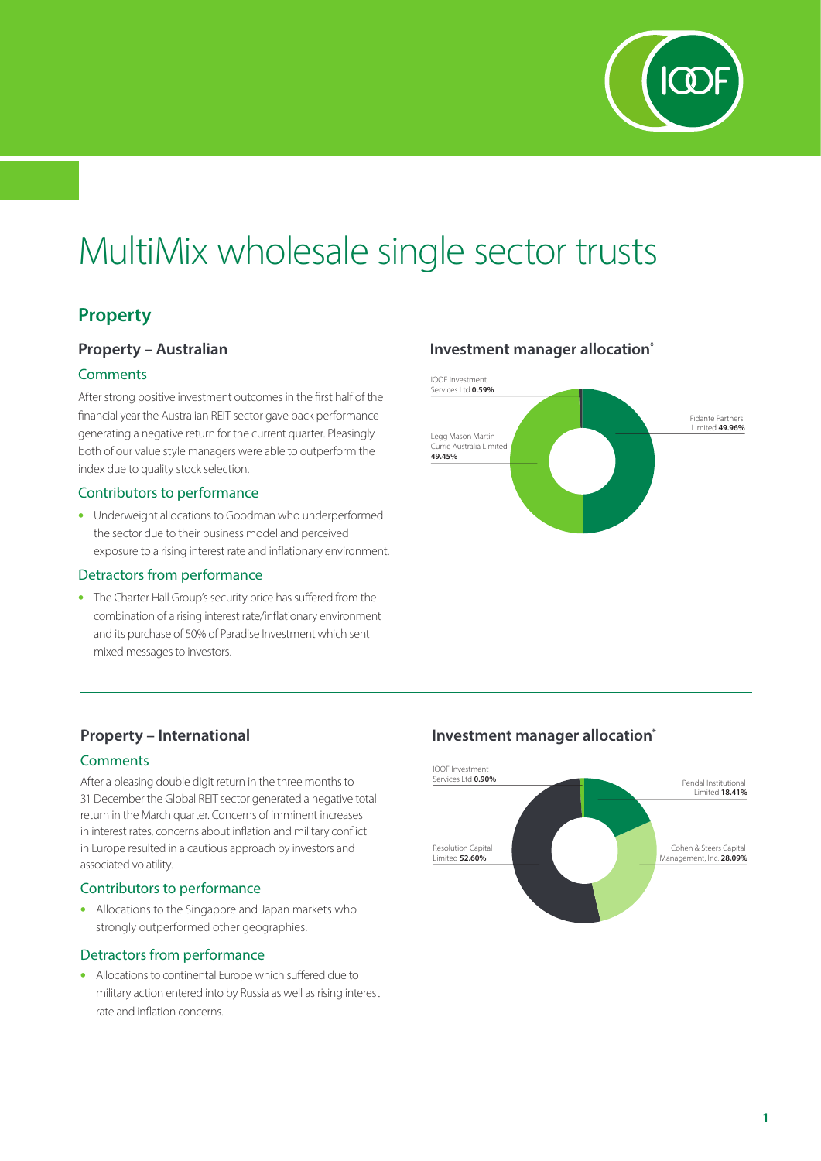

# MultiMix wholesale single sector trusts

# **Property**

## **Property – Australian**

#### **Comments**

After strong positive investment outcomes in the first half of the financial year the Australian REIT sector gave back performance generating a negative return for the current quarter. Pleasingly both of our value style managers were able to outperform the index due to quality stock selection.

#### Contributors to performance

• Underweight allocations to Goodman who underperformed the sector due to their business model and perceived exposure to a rising interest rate and inflationary environment.

#### Detractors from performance

• The Charter Hall Group's security price has suffered from the combination of a rising interest rate/inflationary environment and its purchase of 50% of Paradise Investment which sent mixed messages to investors.

## **Investment manager allocation\***



## **Property – International**

#### **Comments**

After a pleasing double digit return in the three months to 31 December the Global REIT sector generated a negative total return in the March quarter. Concerns of imminent increases in interest rates, concerns about inflation and military conflict in Europe resulted in a cautious approach by investors and associated volatility.

#### Contributors to performance

• Allocations to the Singapore and Japan markets who strongly outperformed other geographies.

#### Detractors from performance

• Allocations to continental Europe which suffered due to military action entered into by Russia as well as rising interest rate and inflation concerns.

## **Investment manager allocation\***